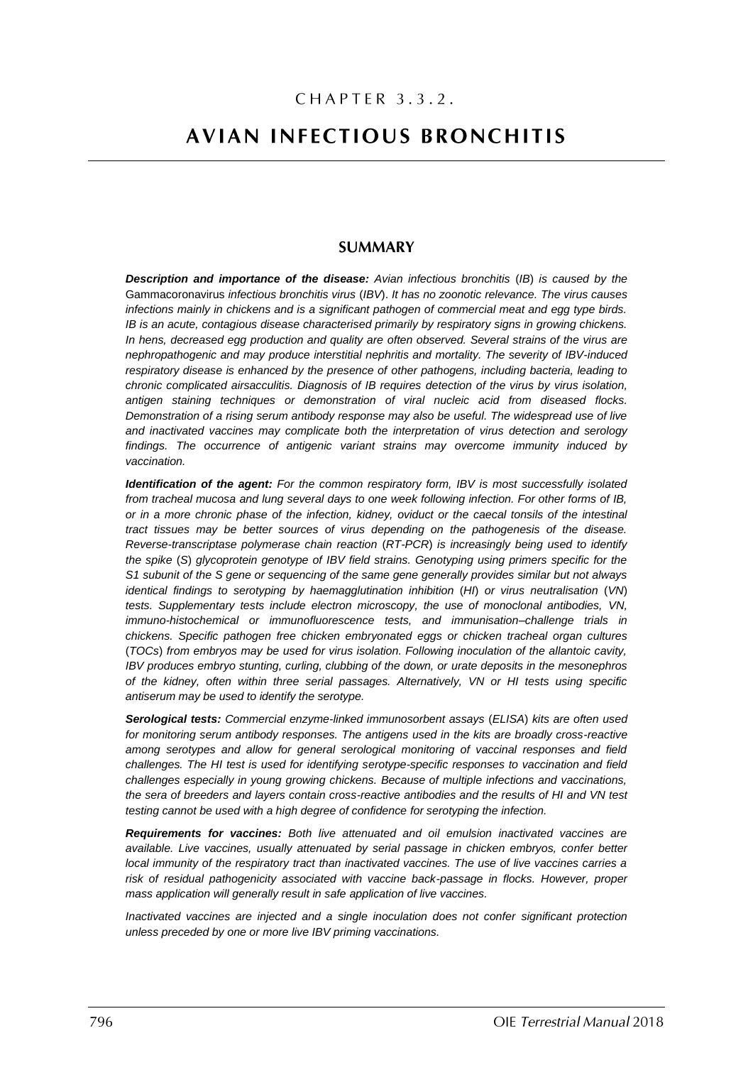## CHAPTER 3.3.2.

# **AVIAN INFECTIOUS BRONCHITIS**

## **SUMMARY**

*Description and importance of the disease: Avian infectious bronchitis* (*IB*) *is caused by the*  Gammacoronavirus *infectious bronchitis virus* (*IBV*). *It has no zoonotic relevance. The virus causes infections mainly in chickens and is a significant pathogen of commercial meat and egg type birds. IB is an acute, contagious disease characterised primarily by respiratory signs in growing chickens. In hens, decreased egg production and quality are often observed. Several strains of the virus are nephropathogenic and may produce interstitial nephritis and mortality. The severity of IBV-induced respiratory disease is enhanced by the presence of other pathogens, including bacteria, leading to chronic complicated airsacculitis. Diagnosis of IB requires detection of the virus by virus isolation, antigen staining techniques or demonstration of viral nucleic acid from diseased flocks. Demonstration of a rising serum antibody response may also be useful. The widespread use of live and inactivated vaccines may complicate both the interpretation of virus detection and serology findings. The occurrence of antigenic variant strains may overcome immunity induced by vaccination.*

*Identification of the agent: For the common respiratory form, IBV is most successfully isolated from tracheal mucosa and lung several days to one week following infection. For other forms of IB, or in a more chronic phase of the infection, kidney, oviduct or the caecal tonsils of the intestinal tract tissues may be better sources of virus depending on the pathogenesis of the disease. Reverse-transcriptase polymerase chain reaction* (*RT-PCR*) *is increasingly being used to identify the spike* (*S*) *glycoprotein genotype of IBV field strains. Genotyping using primers specific for the S1 subunit of the S gene or sequencing of the same gene generally provides similar but not always identical findings to serotyping by haemagglutination inhibition* (*HI*) *or virus neutralisation* (*VN*) *tests. Supplementary tests include electron microscopy, the use of monoclonal antibodies, VN, immuno-histochemical or immunofluorescence tests, and immunisation–challenge trials in chickens. Specific pathogen free chicken embryonated eggs or chicken tracheal organ cultures*  (*TOCs*) *from embryos may be used for virus isolation. Following inoculation of the allantoic cavity, IBV produces embryo stunting, curling, clubbing of the down, or urate deposits in the mesonephros of the kidney, often within three serial passages. Alternatively, VN or HI tests using specific antiserum may be used to identify the serotype.*

*Serological tests: Commercial enzyme-linked immunosorbent assays* (*ELISA*) *kits are often used for monitoring serum antibody responses. The antigens used in the kits are broadly cross-reactive among serotypes and allow for general serological monitoring of vaccinal responses and field challenges. The HI test is used for identifying serotype-specific responses to vaccination and field challenges especially in young growing chickens. Because of multiple infections and vaccinations, the sera of breeders and layers contain cross-reactive antibodies and the results of HI and VN test testing cannot be used with a high degree of confidence for serotyping the infection.* 

*Requirements for vaccines: Both live attenuated and oil emulsion inactivated vaccines are available. Live vaccines, usually attenuated by serial passage in chicken embryos, confer better local immunity of the respiratory tract than inactivated vaccines. The use of live vaccines carries a risk of residual pathogenicity associated with vaccine back-passage in flocks. However, proper mass application will generally result in safe application of live vaccines.* 

*Inactivated vaccines are injected and a single inoculation does not confer significant protection unless preceded by one or more live IBV priming vaccinations.*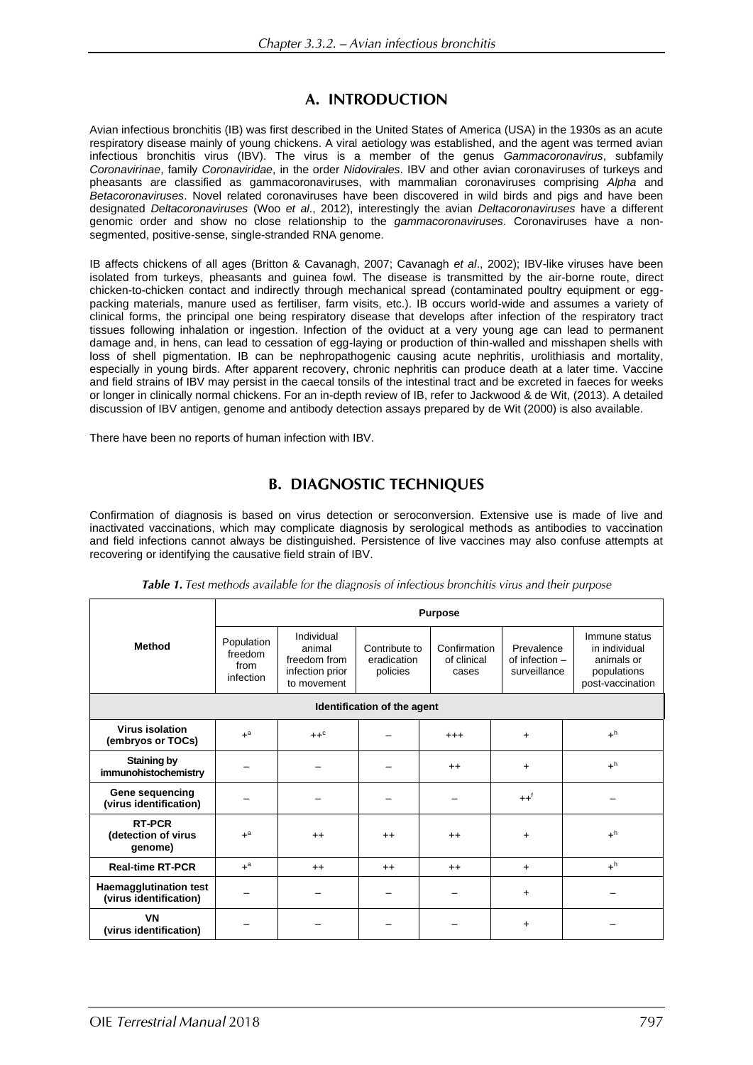## A. INTRODUCTION

Avian infectious bronchitis (IB) was first described in the United States of America (USA) in the 1930s as an acute respiratory disease mainly of young chickens. A viral aetiology was established, and the agent was termed avian infectious bronchitis virus (IBV). The virus is a member of the genus *Gammacoronavirus*, subfamily *Coronavirinae*, family *Coronaviridae*, in the order *Nidovirales*. IBV and other avian coronaviruses of turkeys and pheasants are classified as gammacoronaviruses, with mammalian coronaviruses comprising *Alpha* and *Betacoronaviruses*. Novel related coronaviruses have been discovered in wild birds and pigs and have been designated *Deltacoronaviruses* (Woo *et al*., 2012), interestingly the avian *Deltacoronaviruses* have a different genomic order and show no close relationship to the *gammacoronaviruses*. Coronaviruses have a nonsegmented, positive-sense, single-stranded RNA genome.

IB affects chickens of all ages (Britton & Cavanagh, 2007; Cavanagh *et al*., 2002); IBV-like viruses have been isolated from turkeys, pheasants and guinea fowl. The disease is transmitted by the air-borne route, direct chicken-to-chicken contact and indirectly through mechanical spread (contaminated poultry equipment or eggpacking materials, manure used as fertiliser, farm visits, etc.). IB occurs world-wide and assumes a variety of clinical forms, the principal one being respiratory disease that develops after infection of the respiratory tract tissues following inhalation or ingestion. Infection of the oviduct at a very young age can lead to permanent damage and, in hens, can lead to cessation of egg-laying or production of thin-walled and misshapen shells with loss of shell pigmentation. IB can be nephropathogenic causing acute nephritis, urolithiasis and mortality, especially in young birds. After apparent recovery, chronic nephritis can produce death at a later time. Vaccine and field strains of IBV may persist in the caecal tonsils of the intestinal tract and be excreted in faeces for weeks or longer in clinically normal chickens. For an in-depth review of IB, refer to Jackwood & de Wit, (2013). A detailed discussion of IBV antigen, genome and antibody detection assays prepared by de Wit (2000) is also available.

There have been no reports of human infection with IBV.

## **B. DIAGNOSTIC TECHNIQUES**

Confirmation of diagnosis is based on virus detection or seroconversion. Extensive use is made of live and inactivated vaccinations, which may complicate diagnosis by serological methods as antibodies to vaccination and field infections cannot always be distinguished. Persistence of live vaccines may also confuse attempts at recovering or identifying the causative field strain of IBV.

|                                                         | <b>Purpose</b>                             |                                                                        |                                          |                                      |                                              |                                                                                 |  |  |  |  |
|---------------------------------------------------------|--------------------------------------------|------------------------------------------------------------------------|------------------------------------------|--------------------------------------|----------------------------------------------|---------------------------------------------------------------------------------|--|--|--|--|
| <b>Method</b>                                           | Population<br>freedom<br>from<br>infection | Individual<br>animal<br>freedom from<br>infection prior<br>to movement | Contribute to<br>eradication<br>policies | Confirmation<br>of clinical<br>cases | Prevalence<br>of infection -<br>surveillance | Immune status<br>in individual<br>animals or<br>populations<br>post-vaccination |  |  |  |  |
| Identification of the agent                             |                                            |                                                                        |                                          |                                      |                                              |                                                                                 |  |  |  |  |
| <b>Virus isolation</b><br>(embryos or TOCs)             | $+$ <sup>a</sup>                           | $++^c$                                                                 |                                          | $^{+++}$                             | $\ddot{}$                                    | $+^h$                                                                           |  |  |  |  |
| <b>Staining by</b><br>immunohistochemistry              |                                            |                                                                        |                                          | $++$                                 | $\ddot{}$                                    | $+^h$                                                                           |  |  |  |  |
| Gene sequencing<br>(virus identification)               |                                            |                                                                        |                                          |                                      | $++f$                                        |                                                                                 |  |  |  |  |
| <b>RT-PCR</b><br>(detection of virus<br>genome)         | $+$ <sup>a</sup>                           | $++$                                                                   | $++$                                     | $++$                                 | $\ddot{}$                                    | $+^h$                                                                           |  |  |  |  |
| <b>Real-time RT-PCR</b>                                 | $+$ <sup>a</sup>                           | $++$                                                                   | $++$                                     | $++$                                 | $+$                                          | $+^h$                                                                           |  |  |  |  |
| <b>Haemagglutination test</b><br>(virus identification) |                                            |                                                                        |                                          |                                      | $\ddot{}$                                    |                                                                                 |  |  |  |  |
| <b>VN</b><br>(virus identification)                     |                                            |                                                                        |                                          |                                      | $\ddot{}$                                    |                                                                                 |  |  |  |  |

Table 1. Test methods available for the diagnosis of infectious bronchitis virus and their purpose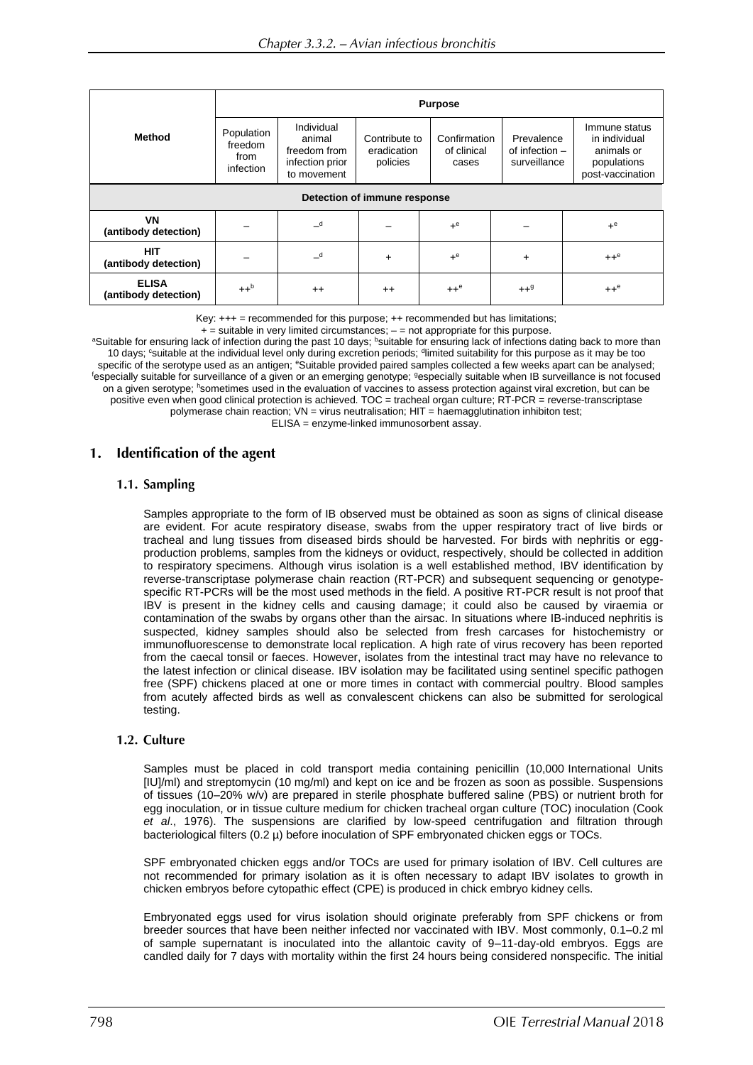|                                      | <b>Purpose</b>                             |                                                                        |                                          |                                      |                                                |                                                                                 |  |  |  |  |
|--------------------------------------|--------------------------------------------|------------------------------------------------------------------------|------------------------------------------|--------------------------------------|------------------------------------------------|---------------------------------------------------------------------------------|--|--|--|--|
| <b>Method</b>                        | Population<br>freedom<br>from<br>infection | Individual<br>animal<br>freedom from<br>infection prior<br>to movement | Contribute to<br>eradication<br>policies | Confirmation<br>of clinical<br>cases | Prevalence<br>of infection $-$<br>surveillance | Immune status<br>in individual<br>animals or<br>populations<br>post-vaccination |  |  |  |  |
| Detection of immune response         |                                            |                                                                        |                                          |                                      |                                                |                                                                                 |  |  |  |  |
| <b>VN</b><br>(antibody detection)    |                                            | $\mathbf{d}$                                                           |                                          | $+e$                                 |                                                | $+e$                                                                            |  |  |  |  |
| <b>HIT</b><br>(antibody detection)   |                                            | $\overline{\phantom{a}}^d$                                             | $\ddot{}$                                | $+e$                                 | $\ddot{}$                                      | $++e$                                                                           |  |  |  |  |
| <b>ELISA</b><br>(antibody detection) | $++^b$                                     | $^{++}$                                                                | $^{++}$                                  | $++^e$                               | $++9$                                          | $++^e$                                                                          |  |  |  |  |

Key: +++ = recommended for this purpose; ++ recommended but has limitations;

<sup>a</sup>Suitable for ensuring lack of infection during the past 10 days; <sup>b</sup>suitable for ensuring lack of infections dating back to more than 10 days; "suitable at the individual level only during excretion periods; <sup>d</sup>limited suitability for this purpose as it may be too specific of the serotype used as an antigen; *eSuitable provided paired samples collected a few weeks apart can be analysed*; fespecially suitable for surveillance of a given or an emerging genotype; <sup>g</sup>especially suitable when IB surveillance is not focused on a given serotype; hsometimes used in the evaluation of vaccines to assess protection against viral excretion, but can be positive even when good clinical protection is achieved. TOC = tracheal organ culture; RT-PCR = reverse-transcriptase polymerase chain reaction;  $VN = virus$  neutralisation;  $HIT = haemagglutination$  inhibiton test; ELISA = enzyme-linked immunosorbent assay.

#### Identification of the agent  $1.$

## 1.1. Sampling

Samples appropriate to the form of IB observed must be obtained as soon as signs of clinical disease are evident. For acute respiratory disease, swabs from the upper respiratory tract of live birds or tracheal and lung tissues from diseased birds should be harvested. For birds with nephritis or eggproduction problems, samples from the kidneys or oviduct, respectively, should be collected in addition to respiratory specimens. Although virus isolation is a well established method, IBV identification by reverse-transcriptase polymerase chain reaction (RT-PCR) and subsequent sequencing or genotypespecific RT-PCRs will be the most used methods in the field. A positive RT-PCR result is not proof that IBV is present in the kidney cells and causing damage; it could also be caused by viraemia or contamination of the swabs by organs other than the airsac. In situations where IB-induced nephritis is suspected, kidney samples should also be selected from fresh carcases for histochemistry or immunofluorescense to demonstrate local replication. A high rate of virus recovery has been reported from the caecal tonsil or faeces. However, isolates from the intestinal tract may have no relevance to the latest infection or clinical disease. IBV isolation may be facilitated using sentinel specific pathogen free (SPF) chickens placed at one or more times in contact with commercial poultry. Blood samples from acutely affected birds as well as convalescent chickens can also be submitted for serological testing.

## 1.2. Culture

Samples must be placed in cold transport media containing penicillin (10,000 International Units [IU]/ml) and streptomycin (10 mg/ml) and kept on ice and be frozen as soon as possible. Suspensions of tissues (10–20% w/v) are prepared in sterile phosphate buffered saline (PBS) or nutrient broth for egg inoculation, or in tissue culture medium for chicken tracheal organ culture (TOC) inoculation (Cook *et al*., 1976). The suspensions are clarified by low-speed centrifugation and filtration through bacteriological filters  $(0.2 \mu)$  before inoculation of SPF embryonated chicken eggs or TOCs.

SPF embryonated chicken eggs and/or TOCs are used for primary isolation of IBV. Cell cultures are not recommended for primary isolation as it is often necessary to adapt IBV isolates to growth in chicken embryos before cytopathic effect (CPE) is produced in chick embryo kidney cells.

Embryonated eggs used for virus isolation should originate preferably from SPF chickens or from breeder sources that have been neither infected nor vaccinated with IBV. Most commonly, 0.1–0.2 ml of sample supernatant is inoculated into the allantoic cavity of 9–11-day-old embryos. Eggs are candled daily for 7 days with mortality within the first 24 hours being considered nonspecific. The initial

 $+$  = suitable in very limited circumstances;  $-$  = not appropriate for this purpose.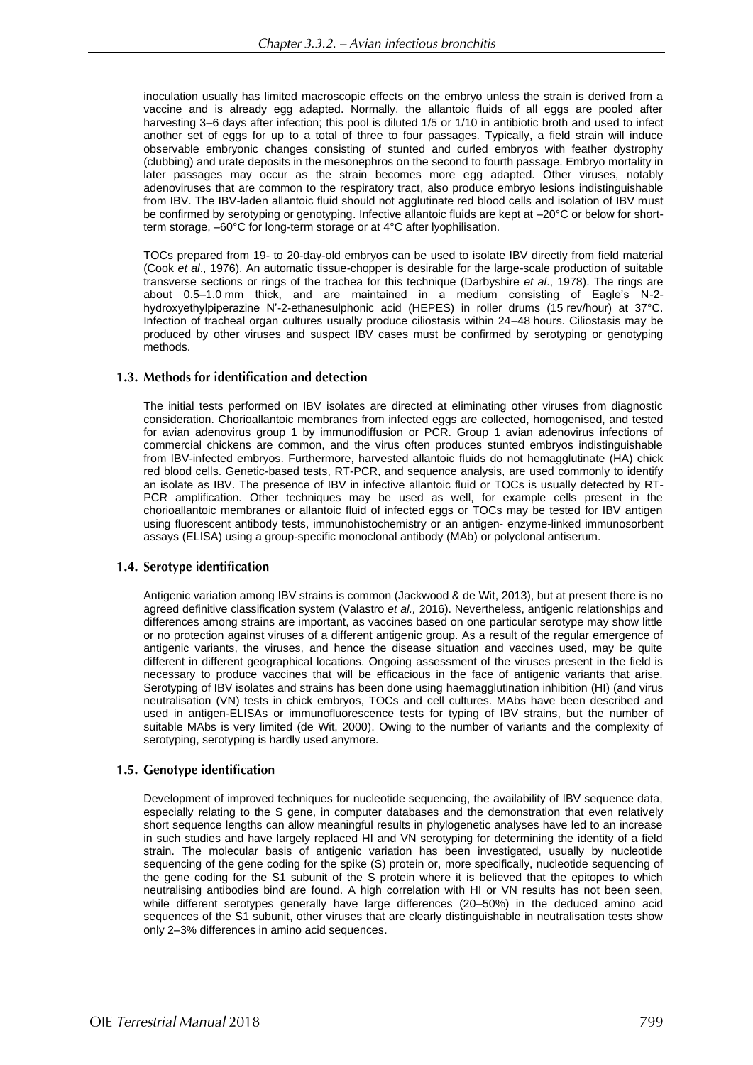inoculation usually has limited macroscopic effects on the embryo unless the strain is derived from a vaccine and is already egg adapted. Normally, the allantoic fluids of all eggs are pooled after harvesting 3–6 days after infection; this pool is diluted 1/5 or 1/10 in antibiotic broth and used to infect another set of eggs for up to a total of three to four passages. Typically, a field strain will induce observable embryonic changes consisting of stunted and curled embryos with feather dystrophy (clubbing) and urate deposits in the mesonephros on the second to fourth passage. Embryo mortality in later passages may occur as the strain becomes more egg adapted. Other viruses, notably adenoviruses that are common to the respiratory tract, also produce embryo lesions indistinguishable from IBV. The IBV-laden allantoic fluid should not agglutinate red blood cells and isolation of IBV must be confirmed by serotyping or genotyping. Infective allantoic fluids are kept at  $-20^{\circ}$ C or below for shortterm storage, –60°C for long-term storage or at 4°C after lyophilisation.

TOCs prepared from 19- to 20-day-old embryos can be used to isolate IBV directly from field material (Cook *et al*., 1976). An automatic tissue-chopper is desirable for the large-scale production of suitable transverse sections or rings of the trachea for this technique (Darbyshire *et al*., 1978). The rings are about 0.5–1.0 mm thick, and are maintained in a medium consisting of Eagle's N-2 hydroxyethylpiperazine N'-2-ethanesulphonic acid (HEPES) in roller drums (15 rev/hour) at 37°C. Infection of tracheal organ cultures usually produce ciliostasis within 24–48 hours. Ciliostasis may be produced by other viruses and suspect IBV cases must be confirmed by serotyping or genotyping methods.

## 1.3. Methods for identification and detection

The initial tests performed on IBV isolates are directed at eliminating other viruses from diagnostic consideration. Chorioallantoic membranes from infected eggs are collected, homogenised, and tested for avian adenovirus group 1 by immunodiffusion or PCR. Group 1 avian adenovirus infections of commercial chickens are common, and the virus often produces stunted embryos indistinguishable from IBV-infected embryos. Furthermore, harvested allantoic fluids do not hemagglutinate (HA) chick red blood cells. Genetic-based tests, RT-PCR, and sequence analysis, are used commonly to identify an isolate as IBV. The presence of IBV in infective allantoic fluid or TOCs is usually detected by RT-PCR amplification. Other techniques may be used as well, for example cells present in the chorioallantoic membranes or allantoic fluid of infected eggs or TOCs may be tested for IBV antigen using fluorescent antibody tests, immunohistochemistry or an antigen- enzyme-linked immunosorbent assays (ELISA) using a group-specific monoclonal antibody (MAb) or polyclonal antiserum.

## 1.4. Serotype identification

Antigenic variation among IBV strains is common (Jackwood & de Wit, 2013), but at present there is no agreed definitive classification system (Valastro *et al.,* 2016). Nevertheless, antigenic relationships and differences among strains are important, as vaccines based on one particular serotype may show little or no protection against viruses of a different antigenic group. As a result of the regular emergence of antigenic variants, the viruses, and hence the disease situation and vaccines used, may be quite different in different geographical locations. Ongoing assessment of the viruses present in the field is necessary to produce vaccines that will be efficacious in the face of antigenic variants that arise. Serotyping of IBV isolates and strains has been done using haemagglutination inhibition (HI) (and virus neutralisation (VN) tests in chick embryos, TOCs and cell cultures. MAbs have been described and used in antigen-ELISAs or immunofluorescence tests for typing of IBV strains, but the number of suitable MAbs is very limited (de Wit, 2000). Owing to the number of variants and the complexity of serotyping, serotyping is hardly used anymore.

## 1.5. Genotype identification

Development of improved techniques for nucleotide sequencing, the availability of IBV sequence data, especially relating to the S gene, in computer databases and the demonstration that even relatively short sequence lengths can allow meaningful results in phylogenetic analyses have led to an increase in such studies and have largely replaced HI and VN serotyping for determining the identity of a field strain. The molecular basis of antigenic variation has been investigated, usually by nucleotide sequencing of the gene coding for the spike (S) protein or, more specifically, nucleotide sequencing of the gene coding for the S1 subunit of the S protein where it is believed that the epitopes to which neutralising antibodies bind are found. A high correlation with HI or VN results has not been seen, while different serotypes generally have large differences (20–50%) in the deduced amino acid sequences of the S1 subunit, other viruses that are clearly distinguishable in neutralisation tests show only 2–3% differences in amino acid sequences.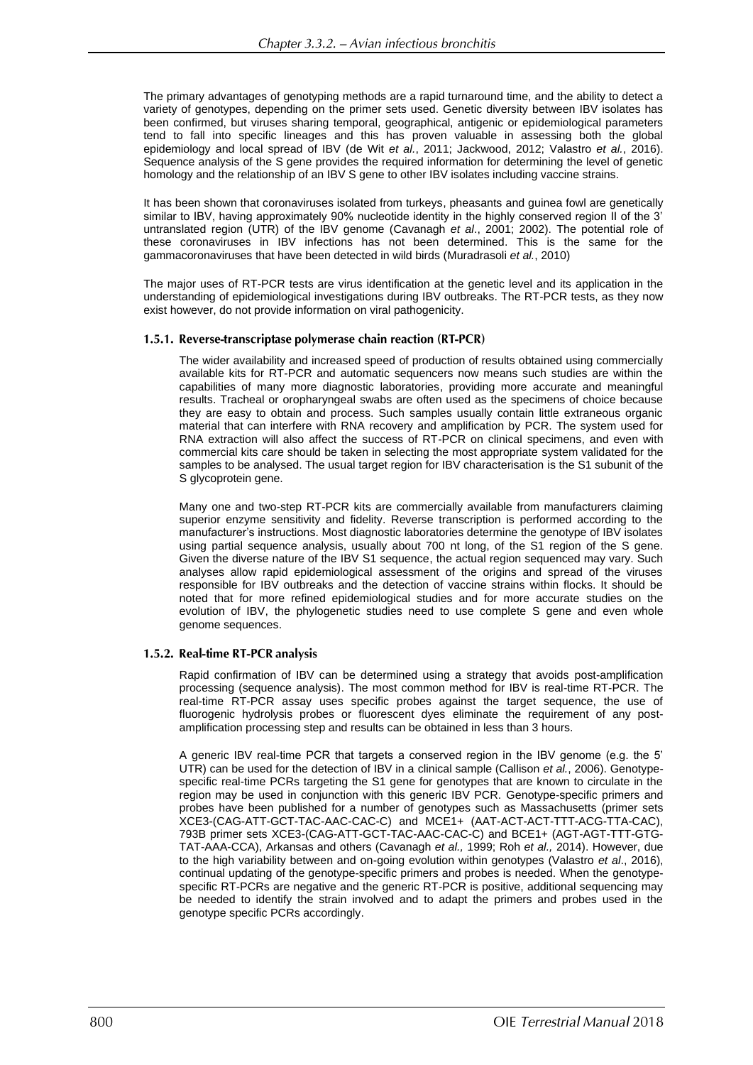The primary advantages of genotyping methods are a rapid turnaround time, and the ability to detect a variety of genotypes, depending on the primer sets used. Genetic diversity between IBV isolates has been confirmed, but viruses sharing temporal, geographical, antigenic or epidemiological parameters tend to fall into specific lineages and this has proven valuable in assessing both the global epidemiology and local spread of IBV (de Wit *et al.*, 2011; Jackwood, 2012; Valastro *et al.*, 2016). Sequence analysis of the S gene provides the required information for determining the level of genetic homology and the relationship of an IBV S gene to other IBV isolates including vaccine strains.

It has been shown that coronaviruses isolated from turkeys, pheasants and guinea fowl are genetically similar to IBV, having approximately 90% nucleotide identity in the highly conserved region II of the 3' untranslated region (UTR) of the IBV genome (Cavanagh *et al*., 2001; 2002). The potential role of these coronaviruses in IBV infections has not been determined. This is the same for the gammacoronaviruses that have been detected in wild birds (Muradrasoli *et al.*, 2010)

The major uses of RT-PCR tests are virus identification at the genetic level and its application in the understanding of epidemiological investigations during IBV outbreaks. The RT-PCR tests, as they now exist however, do not provide information on viral pathogenicity.

## 1.5.1. Reverse-transcriptase polymerase chain reaction (RT-PCR)

The wider availability and increased speed of production of results obtained using commercially available kits for RT-PCR and automatic sequencers now means such studies are within the capabilities of many more diagnostic laboratories, providing more accurate and meaningful results. Tracheal or oropharyngeal swabs are often used as the specimens of choice because they are easy to obtain and process. Such samples usually contain little extraneous organic material that can interfere with RNA recovery and amplification by PCR. The system used for RNA extraction will also affect the success of RT-PCR on clinical specimens, and even with commercial kits care should be taken in selecting the most appropriate system validated for the samples to be analysed. The usual target region for IBV characterisation is the S1 subunit of the S glycoprotein gene.

Many one and two-step RT-PCR kits are commercially available from manufacturers claiming superior enzyme sensitivity and fidelity. Reverse transcription is performed according to the manufacturer's instructions. Most diagnostic laboratories determine the genotype of IBV isolates using partial sequence analysis, usually about 700 nt long, of the S1 region of the S gene. Given the diverse nature of the IBV S1 sequence, the actual region sequenced may vary. Such analyses allow rapid epidemiological assessment of the origins and spread of the viruses responsible for IBV outbreaks and the detection of vaccine strains within flocks. It should be noted that for more refined epidemiological studies and for more accurate studies on the evolution of IBV, the phylogenetic studies need to use complete S gene and even whole genome sequences.

## 1.5.2. Real-time RT-PCR analysis

Rapid confirmation of IBV can be determined using a strategy that avoids post-amplification processing (sequence analysis). The most common method for IBV is real-time RT-PCR. The real-time RT-PCR assay uses specific probes against the target sequence, the use of fluorogenic hydrolysis probes or fluorescent dyes eliminate the requirement of any postamplification processing step and results can be obtained in less than 3 hours.

A generic IBV real-time PCR that targets a conserved region in the IBV genome (e.g. the 5' UTR) can be used for the detection of IBV in a clinical sample (Callison *et al.*, 2006). Genotypespecific real-time PCRs targeting the S1 gene for genotypes that are known to circulate in the region may be used in conjunction with this generic IBV PCR. Genotype-specific primers and probes have been published for a number of genotypes such as Massachusetts (primer sets XCE3-(CAG-ATT-GCT-TAC-AAC-CAC-C) and MCE1+ (AAT-ACT-ACT-TTT-ACG-TTA-CAC), 793B primer sets XCE3-(CAG-ATT-GCT-TAC-AAC-CAC-C) and BCE1+ (AGT-AGT-TTT-GTG-TAT-AAA-CCA), Arkansas and others (Cavanagh *et al.,* 1999; Roh *et al.,* 2014). However, due to the high variability between and on-going evolution within genotypes (Valastro *et al*., 2016), continual updating of the genotype-specific primers and probes is needed. When the genotypespecific RT-PCRs are negative and the generic RT-PCR is positive, additional sequencing may be needed to identify the strain involved and to adapt the primers and probes used in the genotype specific PCRs accordingly.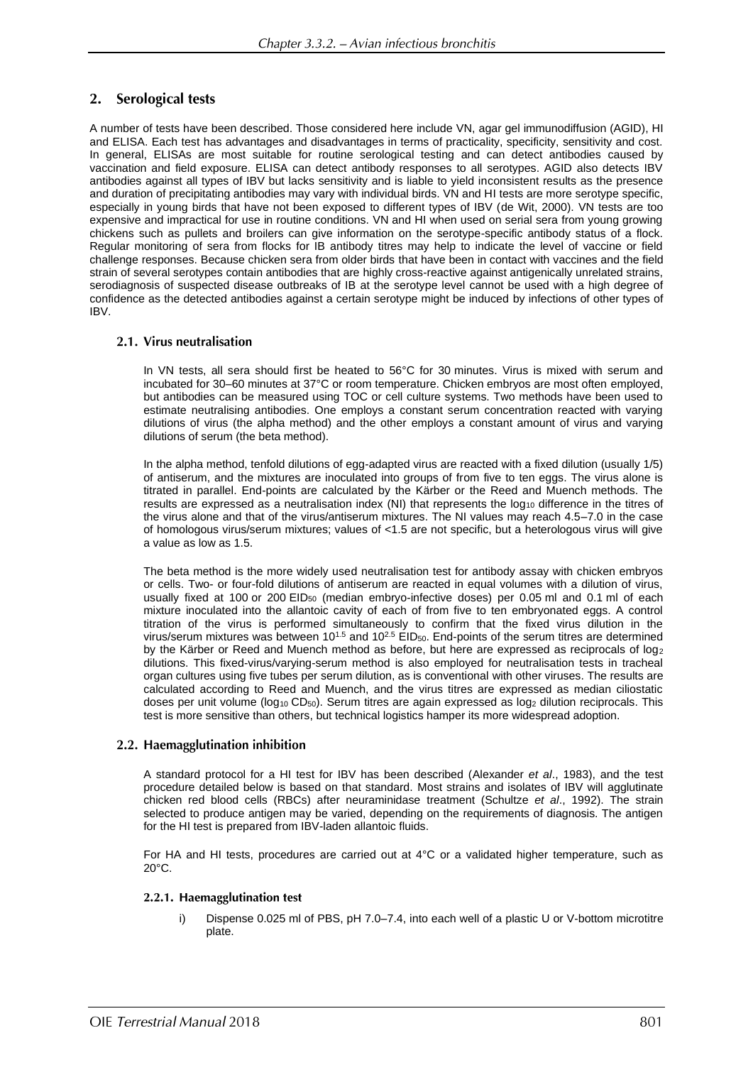#### $2.$ **Serological tests**

A number of tests have been described. Those considered here include VN, agar gel immunodiffusion (AGID), HI and ELISA. Each test has advantages and disadvantages in terms of practicality, specificity, sensitivity and cost. In general, ELISAs are most suitable for routine serological testing and can detect antibodies caused by vaccination and field exposure. ELISA can detect antibody responses to all serotypes. AGID also detects IBV antibodies against all types of IBV but lacks sensitivity and is liable to yield inconsistent results as the presence and duration of precipitating antibodies may vary with individual birds. VN and HI tests are more serotype specific, especially in young birds that have not been exposed to different types of IBV (de Wit, 2000). VN tests are too expensive and impractical for use in routine conditions. VN and HI when used on serial sera from young growing chickens such as pullets and broilers can give information on the serotype-specific antibody status of a flock. Regular monitoring of sera from flocks for IB antibody titres may help to indicate the level of vaccine or field challenge responses. Because chicken sera from older birds that have been in contact with vaccines and the field strain of several serotypes contain antibodies that are highly cross-reactive against antigenically unrelated strains, serodiagnosis of suspected disease outbreaks of IB at the serotype level cannot be used with a high degree of confidence as the detected antibodies against a certain serotype might be induced by infections of other types of IBV.

## 2.1. Virus neutralisation

In VN tests, all sera should first be heated to 56°C for 30 minutes. Virus is mixed with serum and incubated for 30–60 minutes at 37°C or room temperature. Chicken embryos are most often employed, but antibodies can be measured using TOC or cell culture systems. Two methods have been used to estimate neutralising antibodies. One employs a constant serum concentration reacted with varying dilutions of virus (the alpha method) and the other employs a constant amount of virus and varying dilutions of serum (the beta method).

In the alpha method, tenfold dilutions of egg-adapted virus are reacted with a fixed dilution (usually 1/5) of antiserum, and the mixtures are inoculated into groups of from five to ten eggs. The virus alone is titrated in parallel. End-points are calculated by the Kärber or the Reed and Muench methods. The results are expressed as a neutralisation index (NI) that represents the  $log_{10}$  difference in the titres of the virus alone and that of the virus/antiserum mixtures. The NI values may reach 4.5–7.0 in the case of homologous virus/serum mixtures; values of <1.5 are not specific, but a heterologous virus will give a value as low as 1.5.

The beta method is the more widely used neutralisation test for antibody assay with chicken embryos or cells. Two- or four-fold dilutions of antiserum are reacted in equal volumes with a dilution of virus, usually fixed at 100 or 200 EID<sub>50</sub> (median embryo-infective doses) per 0.05 ml and 0.1 ml of each mixture inoculated into the allantoic cavity of each of from five to ten embryonated eggs. A control titration of the virus is performed simultaneously to confirm that the fixed virus dilution in the virus/serum mixtures was between 10<sup>1.5</sup> and 10<sup>2.5</sup> EID<sub>50</sub>. End-points of the serum titres are determined by the Kärber or Reed and Muench method as before, but here are expressed as reciprocals of log<sup>2</sup> dilutions. This fixed-virus/varying-serum method is also employed for neutralisation tests in tracheal organ cultures using five tubes per serum dilution, as is conventional with other viruses. The results are calculated according to Reed and Muench, and the virus titres are expressed as median ciliostatic doses per unit volume ( $log_{10}$  CD<sub>50</sub>). Serum titres are again expressed as  $log_2$  dilution reciprocals. This test is more sensitive than others, but technical logistics hamper its more widespread adoption.

## 2.2. Haemagglutination inhibition

A standard protocol for a HI test for IBV has been described (Alexander *et al*., 1983), and the test procedure detailed below is based on that standard. Most strains and isolates of IBV will agglutinate chicken red blood cells (RBCs) after neuraminidase treatment (Schultze *et al*., 1992). The strain selected to produce antigen may be varied, depending on the requirements of diagnosis. The antigen for the HI test is prepared from IBV-laden allantoic fluids.

For HA and HI tests, procedures are carried out at 4°C or a validated higher temperature, such as  $20^{\circ}$ C.

## 2.2.1. Haemagglutination test

i) Dispense 0.025 ml of PBS, pH 7.0–7.4, into each well of a plastic U or V-bottom microtitre plate.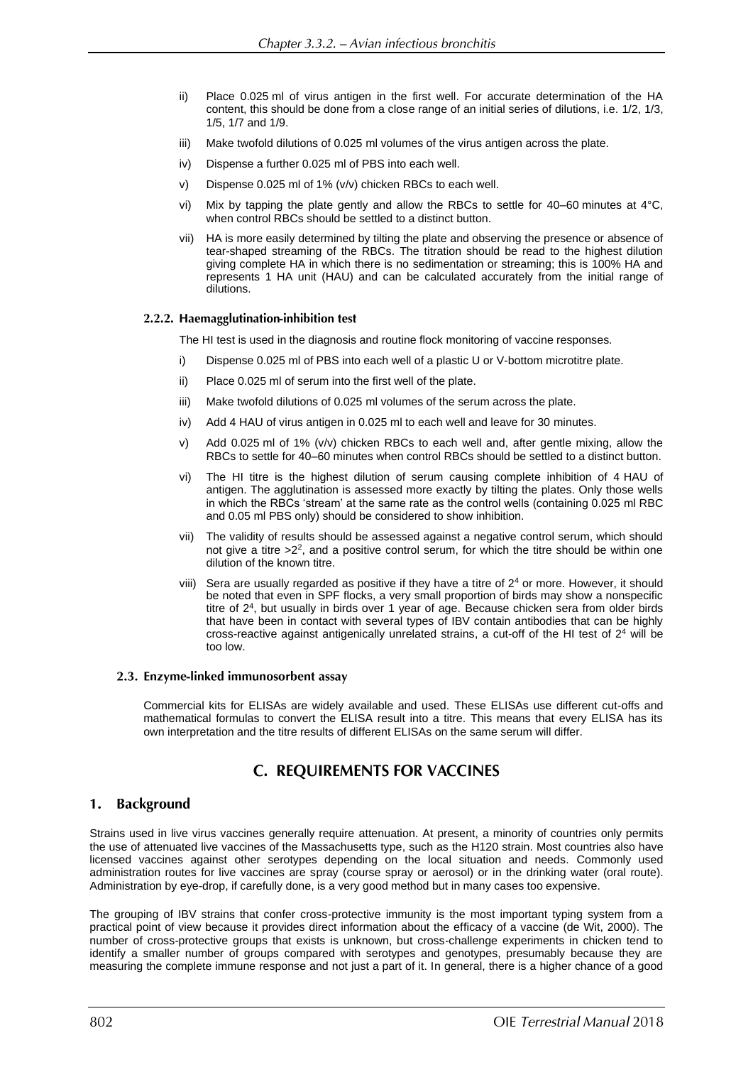- ii) Place 0.025 ml of virus antigen in the first well. For accurate determination of the HA content, this should be done from a close range of an initial series of dilutions, i.e. 1/2, 1/3, 1/5, 1/7 and 1/9.
- iii) Make twofold dilutions of 0.025 ml volumes of the virus antigen across the plate.
- iv) Dispense a further 0.025 ml of PBS into each well.
- v) Dispense 0.025 ml of 1% (v/v) chicken RBCs to each well.
- vi) Mix by tapping the plate gently and allow the RBCs to settle for 40–60 minutes at  $4^{\circ}$ C, when control RBCs should be settled to a distinct button.
- vii) HA is more easily determined by tilting the plate and observing the presence or absence of tear-shaped streaming of the RBCs. The titration should be read to the highest dilution giving complete HA in which there is no sedimentation or streaming; this is 100% HA and represents 1 HA unit (HAU) and can be calculated accurately from the initial range of dilutions.

## 2.2.2. Haemagglutination-inhibition test

The HI test is used in the diagnosis and routine flock monitoring of vaccine responses.

- i) Dispense 0.025 ml of PBS into each well of a plastic U or V-bottom microtitre plate.
- ii) Place 0.025 ml of serum into the first well of the plate.
- iii) Make twofold dilutions of 0.025 ml volumes of the serum across the plate.
- iv) Add 4 HAU of virus antigen in 0.025 ml to each well and leave for 30 minutes.
- v) Add 0.025 ml of 1% (v/v) chicken RBCs to each well and, after gentle mixing, allow the RBCs to settle for 40–60 minutes when control RBCs should be settled to a distinct button.
- vi) The HI titre is the highest dilution of serum causing complete inhibition of 4 HAU of antigen. The agglutination is assessed more exactly by tilting the plates. Only those wells in which the RBCs 'stream' at the same rate as the control wells (containing 0.025 ml RBC and 0.05 ml PBS only) should be considered to show inhibition.
- vii) The validity of results should be assessed against a negative control serum, which should not give a titre  $>2^2$ , and a positive control serum, for which the titre should be within one dilution of the known titre.
- viii) Sera are usually regarded as positive if they have a titre of  $2<sup>4</sup>$  or more. However, it should be noted that even in SPF flocks, a very small proportion of birds may show a nonspecific titre of 2<sup>4</sup> , but usually in birds over 1 year of age. Because chicken sera from older birds that have been in contact with several types of IBV contain antibodies that can be highly cross-reactive against antigenically unrelated strains, a cut-off of the HI test of  $2<sup>4</sup>$  will be too low.

## 2.3. Enzyme-linked immunosorbent assay

Commercial kits for ELISAs are widely available and used. These ELISAs use different cut-offs and mathematical formulas to convert the ELISA result into a titre. This means that every ELISA has its own interpretation and the titre results of different ELISAs on the same serum will differ.

## **C. REQUIREMENTS FOR VACCINES**

#### **Background** 1.

Strains used in live virus vaccines generally require attenuation. At present, a minority of countries only permits the use of attenuated live vaccines of the Massachusetts type, such as the H120 strain. Most countries also have licensed vaccines against other serotypes depending on the local situation and needs. Commonly used administration routes for live vaccines are spray (course spray or aerosol) or in the drinking water (oral route). Administration by eye-drop, if carefully done, is a very good method but in many cases too expensive.

The grouping of IBV strains that confer cross-protective immunity is the most important typing system from a practical point of view because it provides direct information about the efficacy of a vaccine (de Wit, 2000). The number of cross-protective groups that exists is unknown, but cross-challenge experiments in chicken tend to identify a smaller number of groups compared with serotypes and genotypes, presumably because they are measuring the complete immune response and not just a part of it. In general, there is a higher chance of a good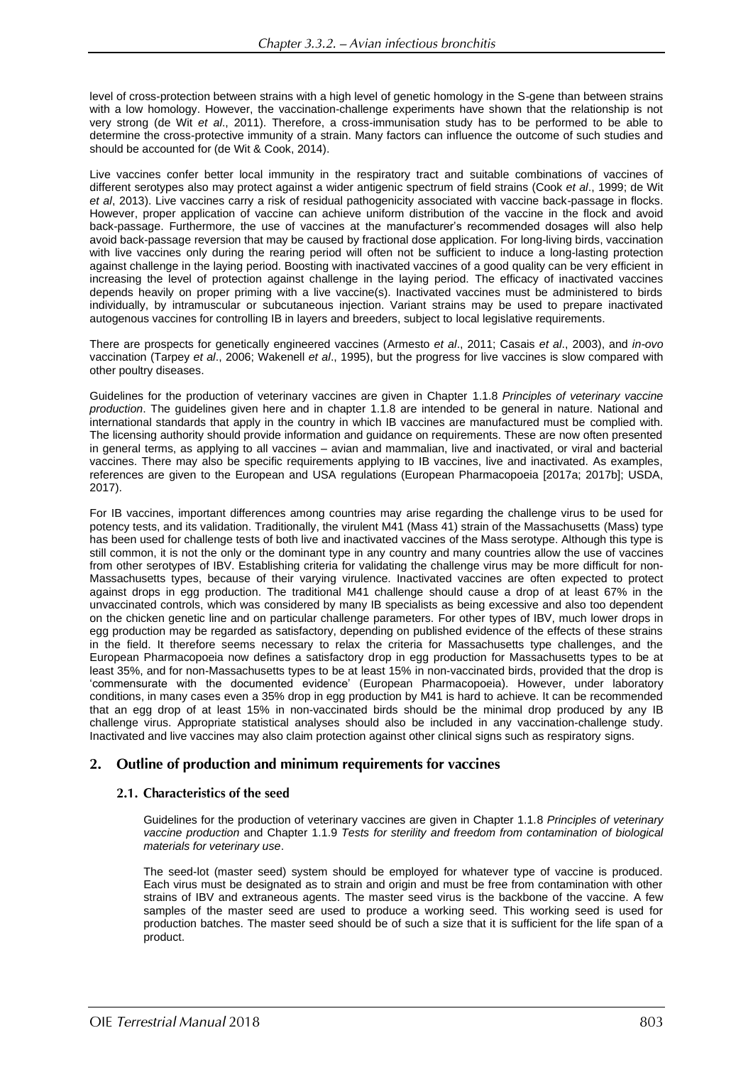level of cross-protection between strains with a high level of genetic homology in the S-gene than between strains with a low homology. However, the vaccination-challenge experiments have shown that the relationship is not very strong (de Wit *et al*., 2011). Therefore, a cross-immunisation study has to be performed to be able to determine the cross-protective immunity of a strain. Many factors can influence the outcome of such studies and should be accounted for (de Wit & Cook, 2014).

Live vaccines confer better local immunity in the respiratory tract and suitable combinations of vaccines of different serotypes also may protect against a wider antigenic spectrum of field strains (Cook *et al*., 1999; de Wit *et al*, 2013). Live vaccines carry a risk of residual pathogenicity associated with vaccine back-passage in flocks. However, proper application of vaccine can achieve uniform distribution of the vaccine in the flock and avoid back-passage. Furthermore, the use of vaccines at the manufacturer's recommended dosages will also help avoid back-passage reversion that may be caused by fractional dose application. For long-living birds, vaccination with live vaccines only during the rearing period will often not be sufficient to induce a long-lasting protection against challenge in the laying period. Boosting with inactivated vaccines of a good quality can be very efficient in increasing the level of protection against challenge in the laying period. The efficacy of inactivated vaccines depends heavily on proper priming with a live vaccine(s). Inactivated vaccines must be administered to birds individually, by intramuscular or subcutaneous injection. Variant strains may be used to prepare inactivated autogenous vaccines for controlling IB in layers and breeders, subject to local legislative requirements.

There are prospects for genetically engineered vaccines (Armesto *et al*., 2011; Casais *et al*., 2003), and *in-ovo* vaccination (Tarpey *et al*., 2006; Wakenell *et al*., 1995), but the progress for live vaccines is slow compared with other poultry diseases.

Guidelines for the production of veterinary vaccines are given in Chapter 1.1.8 *Principles of veterinary vaccine production*. The guidelines given here and in chapter 1.1.8 are intended to be general in nature. National and international standards that apply in the country in which IB vaccines are manufactured must be complied with. The licensing authority should provide information and guidance on requirements. These are now often presented in general terms, as applying to all vaccines – avian and mammalian, live and inactivated, or viral and bacterial vaccines. There may also be specific requirements applying to IB vaccines, live and inactivated. As examples, references are given to the European and USA regulations (European Pharmacopoeia [2017a; 2017b]; USDA, 2017).

For IB vaccines, important differences among countries may arise regarding the challenge virus to be used for potency tests, and its validation. Traditionally, the virulent M41 (Mass 41) strain of the Massachusetts (Mass) type has been used for challenge tests of both live and inactivated vaccines of the Mass serotype. Although this type is still common, it is not the only or the dominant type in any country and many countries allow the use of vaccines from other serotypes of IBV. Establishing criteria for validating the challenge virus may be more difficult for non-Massachusetts types, because of their varying virulence. Inactivated vaccines are often expected to protect against drops in egg production. The traditional M41 challenge should cause a drop of at least 67% in the unvaccinated controls, which was considered by many IB specialists as being excessive and also too dependent on the chicken genetic line and on particular challenge parameters. For other types of IBV, much lower drops in egg production may be regarded as satisfactory, depending on published evidence of the effects of these strains in the field. It therefore seems necessary to relax the criteria for Massachusetts type challenges, and the European Pharmacopoeia now defines a satisfactory drop in egg production for Massachusetts types to be at least 35%, and for non-Massachusetts types to be at least 15% in non-vaccinated birds, provided that the drop is 'commensurate with the documented evidence' (European Pharmacopoeia). However, under laboratory conditions, in many cases even a 35% drop in egg production by M41 is hard to achieve. It can be recommended that an egg drop of at least 15% in non-vaccinated birds should be the minimal drop produced by any IB challenge virus. Appropriate statistical analyses should also be included in any vaccination-challenge study. Inactivated and live vaccines may also claim protection against other clinical signs such as respiratory signs.

#### Outline of production and minimum requirements for vaccines 2.

## 2.1. Characteristics of the seed

Guidelines for the production of veterinary vaccines are given in Chapter 1.1.8 *Principles of veterinary vaccine production* and Chapter 1.1.9 *Tests for sterility and freedom from contamination of biological materials for veterinary use*.

The seed-lot (master seed) system should be employed for whatever type of vaccine is produced. Each virus must be designated as to strain and origin and must be free from contamination with other strains of IBV and extraneous agents. The master seed virus is the backbone of the vaccine. A few samples of the master seed are used to produce a working seed. This working seed is used for production batches. The master seed should be of such a size that it is sufficient for the life span of a product.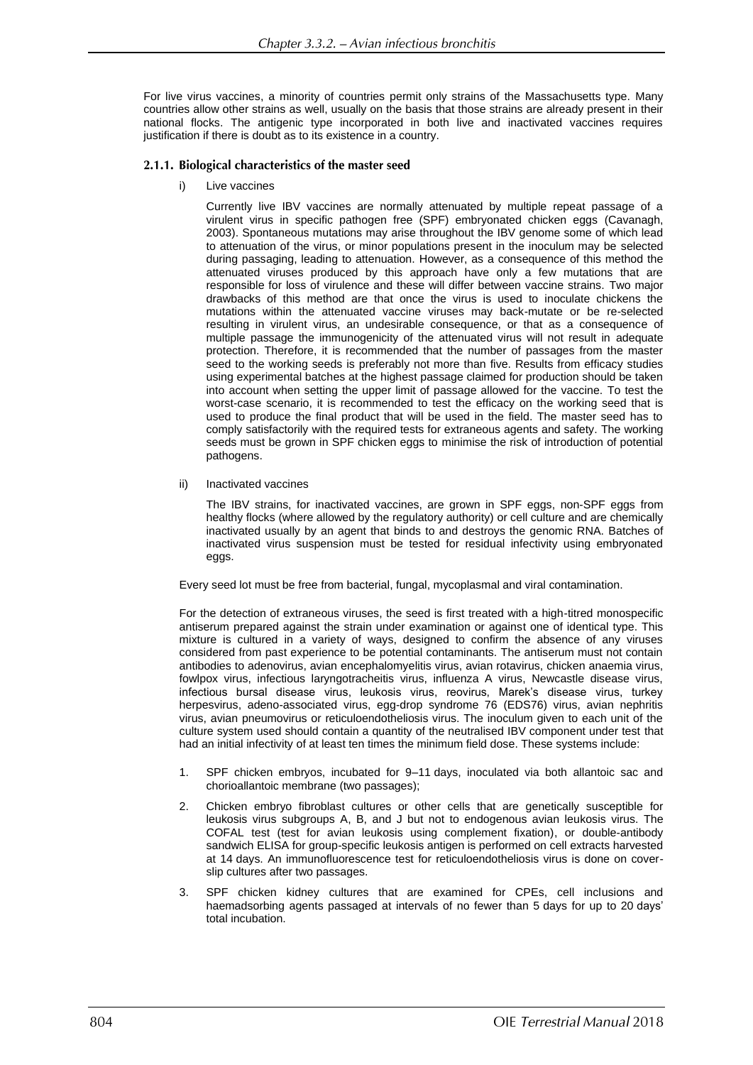For live virus vaccines, a minority of countries permit only strains of the Massachusetts type. Many countries allow other strains as well, usually on the basis that those strains are already present in their national flocks. The antigenic type incorporated in both live and inactivated vaccines requires justification if there is doubt as to its existence in a country.

## 2.1.1. Biological characteristics of the master seed

i) Live vaccines

Currently live IBV vaccines are normally attenuated by multiple repeat passage of a virulent virus in specific pathogen free (SPF) embryonated chicken eggs (Cavanagh, 2003). Spontaneous mutations may arise throughout the IBV genome some of which lead to attenuation of the virus, or minor populations present in the inoculum may be selected during passaging, leading to attenuation. However, as a consequence of this method the attenuated viruses produced by this approach have only a few mutations that are responsible for loss of virulence and these will differ between vaccine strains. Two major drawbacks of this method are that once the virus is used to inoculate chickens the mutations within the attenuated vaccine viruses may back-mutate or be re-selected resulting in virulent virus, an undesirable consequence, or that as a consequence of multiple passage the immunogenicity of the attenuated virus will not result in adequate protection. Therefore, it is recommended that the number of passages from the master seed to the working seeds is preferably not more than five. Results from efficacy studies using experimental batches at the highest passage claimed for production should be taken into account when setting the upper limit of passage allowed for the vaccine. To test the worst-case scenario, it is recommended to test the efficacy on the working seed that is used to produce the final product that will be used in the field. The master seed has to comply satisfactorily with the required tests for extraneous agents and safety. The working seeds must be grown in SPF chicken eggs to minimise the risk of introduction of potential pathogens.

ii) Inactivated vaccines

The IBV strains, for inactivated vaccines, are grown in SPF eggs, non-SPF eggs from healthy flocks (where allowed by the regulatory authority) or cell culture and are chemically inactivated usually by an agent that binds to and destroys the genomic RNA. Batches of inactivated virus suspension must be tested for residual infectivity using embryonated eggs.

Every seed lot must be free from bacterial, fungal, mycoplasmal and viral contamination.

For the detection of extraneous viruses, the seed is first treated with a high-titred monospecific antiserum prepared against the strain under examination or against one of identical type. This mixture is cultured in a variety of ways, designed to confirm the absence of any viruses considered from past experience to be potential contaminants. The antiserum must not contain antibodies to adenovirus, avian encephalomyelitis virus, avian rotavirus, chicken anaemia virus, fowlpox virus, infectious laryngotracheitis virus, influenza A virus, Newcastle disease virus, infectious bursal disease virus, leukosis virus, reovirus, Marek's disease virus, turkey herpesvirus, adeno-associated virus, egg-drop syndrome 76 (EDS76) virus, avian nephritis virus, avian pneumovirus or reticuloendotheliosis virus. The inoculum given to each unit of the culture system used should contain a quantity of the neutralised IBV component under test that had an initial infectivity of at least ten times the minimum field dose. These systems include:

- 1. SPF chicken embryos, incubated for 9–11 days, inoculated via both allantoic sac and chorioallantoic membrane (two passages);
- 2. Chicken embryo fibroblast cultures or other cells that are genetically susceptible for leukosis virus subgroups A, B, and J but not to endogenous avian leukosis virus. The COFAL test (test for avian leukosis using complement fixation), or double-antibody sandwich ELISA for group-specific leukosis antigen is performed on cell extracts harvested at 14 days. An immunofluorescence test for reticuloendotheliosis virus is done on coverslip cultures after two passages.
- 3. SPF chicken kidney cultures that are examined for CPEs, cell inclusions and haemadsorbing agents passaged at intervals of no fewer than 5 days for up to 20 days' total incubation.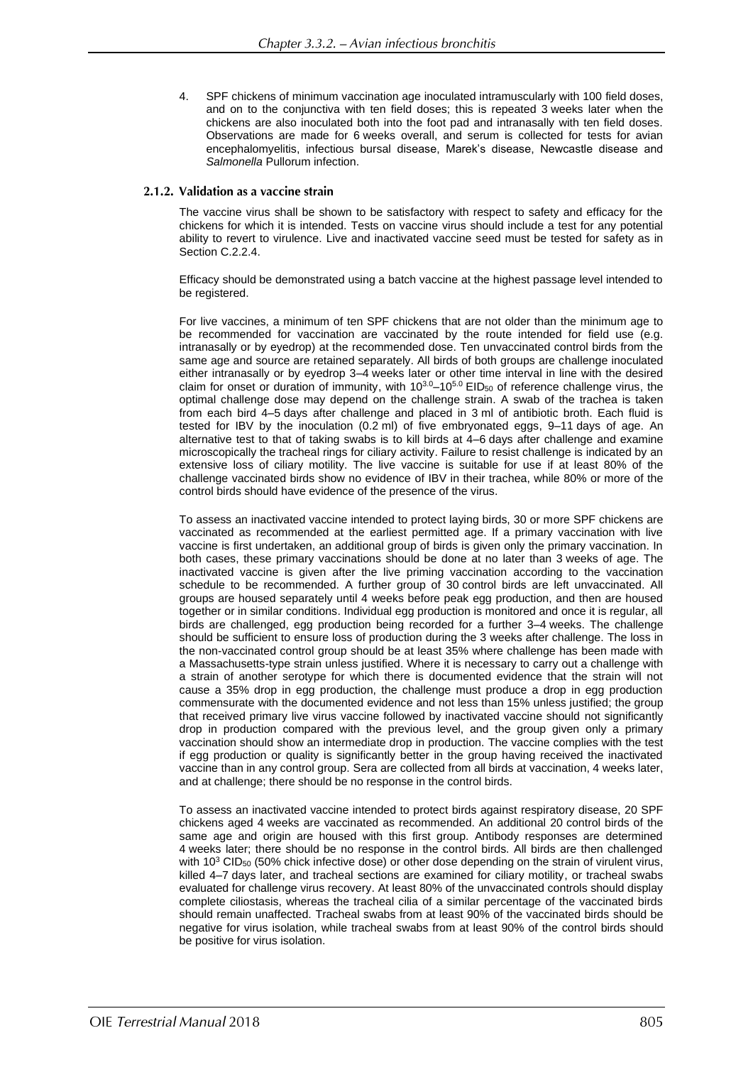4. SPF chickens of minimum vaccination age inoculated intramuscularly with 100 field doses, and on to the conjunctiva with ten field doses; this is repeated 3 weeks later when the chickens are also inoculated both into the foot pad and intranasally with ten field doses. Observations are made for 6 weeks overall, and serum is collected for tests for avian encephalomyelitis, infectious bursal disease, Marek's disease, Newcastle disease and *Salmonella* Pullorum infection.

## 2.1.2. Validation as a vaccine strain

The vaccine virus shall be shown to be satisfactory with respect to safety and efficacy for the chickens for which it is intended. Tests on vaccine virus should include a test for any potential ability to revert to virulence. Live and inactivated vaccine seed must be tested for safety as in Section C.2.2.4.

Efficacy should be demonstrated using a batch vaccine at the highest passage level intended to be registered.

For live vaccines, a minimum of ten SPF chickens that are not older than the minimum age to be recommended for vaccination are vaccinated by the route intended for field use (e.g. intranasally or by eyedrop) at the recommended dose. Ten unvaccinated control birds from the same age and source are retained separately. All birds of both groups are challenge inoculated either intranasally or by eyedrop 3–4 weeks later or other time interval in line with the desired claim for onset or duration of immunity, with  $10^{3.0}$ –10<sup>5.0</sup> EID<sub>50</sub> of reference challenge virus, the optimal challenge dose may depend on the challenge strain. A swab of the trachea is taken from each bird 4–5 days after challenge and placed in 3 ml of antibiotic broth. Each fluid is tested for IBV by the inoculation (0.2 ml) of five embryonated eggs, 9–11 days of age. An alternative test to that of taking swabs is to kill birds at 4–6 days after challenge and examine microscopically the tracheal rings for ciliary activity. Failure to resist challenge is indicated by an extensive loss of ciliary motility. The live vaccine is suitable for use if at least 80% of the challenge vaccinated birds show no evidence of IBV in their trachea, while 80% or more of the control birds should have evidence of the presence of the virus.

To assess an inactivated vaccine intended to protect laying birds, 30 or more SPF chickens are vaccinated as recommended at the earliest permitted age. If a primary vaccination with live vaccine is first undertaken, an additional group of birds is given only the primary vaccination. In both cases, these primary vaccinations should be done at no later than 3 weeks of age. The inactivated vaccine is given after the live priming vaccination according to the vaccination schedule to be recommended. A further group of 30 control birds are left unvaccinated. All groups are housed separately until 4 weeks before peak egg production, and then are housed together or in similar conditions. Individual egg production is monitored and once it is regular, all birds are challenged, egg production being recorded for a further 3–4 weeks. The challenge should be sufficient to ensure loss of production during the 3 weeks after challenge. The loss in the non-vaccinated control group should be at least 35% where challenge has been made with a Massachusetts-type strain unless justified. Where it is necessary to carry out a challenge with a strain of another serotype for which there is documented evidence that the strain will not cause a 35% drop in egg production, the challenge must produce a drop in egg production commensurate with the documented evidence and not less than 15% unless justified; the group that received primary live virus vaccine followed by inactivated vaccine should not significantly drop in production compared with the previous level, and the group given only a primary vaccination should show an intermediate drop in production. The vaccine complies with the test if egg production or quality is significantly better in the group having received the inactivated vaccine than in any control group. Sera are collected from all birds at vaccination, 4 weeks later, and at challenge; there should be no response in the control birds.

To assess an inactivated vaccine intended to protect birds against respiratory disease, 20 SPF chickens aged 4 weeks are vaccinated as recommended. An additional 20 control birds of the same age and origin are housed with this first group. Antibody responses are determined 4 weeks later; there should be no response in the control birds. All birds are then challenged with 10<sup>3</sup> CID<sub>50</sub> (50% chick infective dose) or other dose depending on the strain of virulent virus, killed 4–7 days later, and tracheal sections are examined for ciliary motility, or tracheal swabs evaluated for challenge virus recovery. At least 80% of the unvaccinated controls should display complete ciliostasis, whereas the tracheal cilia of a similar percentage of the vaccinated birds should remain unaffected. Tracheal swabs from at least 90% of the vaccinated birds should be negative for virus isolation, while tracheal swabs from at least 90% of the control birds should be positive for virus isolation.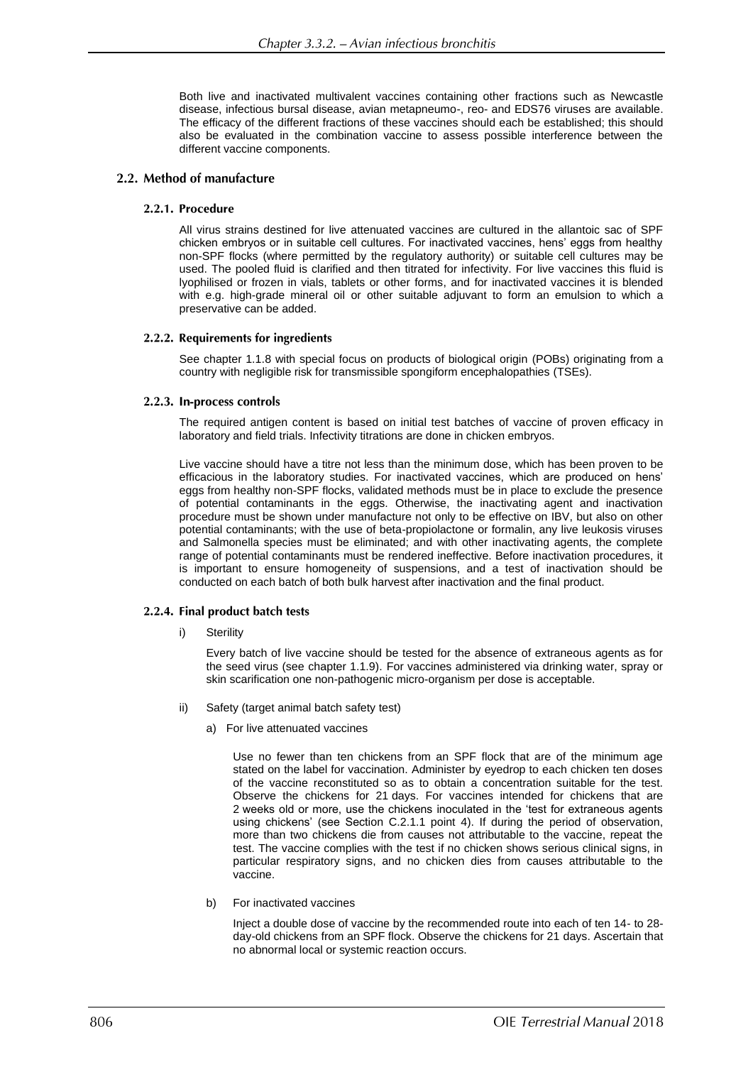Both live and inactivated multivalent vaccines containing other fractions such as Newcastle disease, infectious bursal disease, avian metapneumo-, reo- and EDS76 viruses are available. The efficacy of the different fractions of these vaccines should each be established; this should also be evaluated in the combination vaccine to assess possible interference between the different vaccine components.

## 2.2. Method of manufacture

## 2.2.1. Procedure

All virus strains destined for live attenuated vaccines are cultured in the allantoic sac of SPF chicken embryos or in suitable cell cultures. For inactivated vaccines, hens' eggs from healthy non-SPF flocks (where permitted by the regulatory authority) or suitable cell cultures may be used. The pooled fluid is clarified and then titrated for infectivity. For live vaccines this fluid is lyophilised or frozen in vials, tablets or other forms, and for inactivated vaccines it is blended with e.g. high-grade mineral oil or other suitable adjuvant to form an emulsion to which a preservative can be added.

### 2.2.2. Requirements for ingredients

See chapter 1.1.8 with special focus on products of biological origin (POBs) originating from a country with negligible risk for transmissible spongiform encephalopathies (TSEs).

### 2.2.3. In-process controls

The required antigen content is based on initial test batches of vaccine of proven efficacy in laboratory and field trials. Infectivity titrations are done in chicken embryos.

Live vaccine should have a titre not less than the minimum dose, which has been proven to be efficacious in the laboratory studies. For inactivated vaccines, which are produced on hens' eggs from healthy non-SPF flocks, validated methods must be in place to exclude the presence of potential contaminants in the eggs. Otherwise, the inactivating agent and inactivation procedure must be shown under manufacture not only to be effective on IBV, but also on other potential contaminants; with the use of beta-propiolactone or formalin, any live leukosis viruses and Salmonella species must be eliminated; and with other inactivating agents, the complete range of potential contaminants must be rendered ineffective. Before inactivation procedures, it is important to ensure homogeneity of suspensions, and a test of inactivation should be conducted on each batch of both bulk harvest after inactivation and the final product.

## 2.2.4. Final product batch tests

i) Sterility

Every batch of live vaccine should be tested for the absence of extraneous agents as for the seed virus (see chapter 1.1.9). For vaccines administered via drinking water, spray or skin scarification one non-pathogenic micro-organism per dose is acceptable.

- ii) Safety (target animal batch safety test)
	- a) For live attenuated vaccines

Use no fewer than ten chickens from an SPF flock that are of the minimum age stated on the label for vaccination. Administer by eyedrop to each chicken ten doses of the vaccine reconstituted so as to obtain a concentration suitable for the test. Observe the chickens for 21 days. For vaccines intended for chickens that are 2 weeks old or more, use the chickens inoculated in the 'test for extraneous agents using chickens' (see Section C.2.1.1 point 4). If during the period of observation, more than two chickens die from causes not attributable to the vaccine, repeat the test. The vaccine complies with the test if no chicken shows serious clinical signs, in particular respiratory signs, and no chicken dies from causes attributable to the vaccine.

b) For inactivated vaccines

Inject a double dose of vaccine by the recommended route into each of ten 14- to 28 day-old chickens from an SPF flock. Observe the chickens for 21 days. Ascertain that no abnormal local or systemic reaction occurs.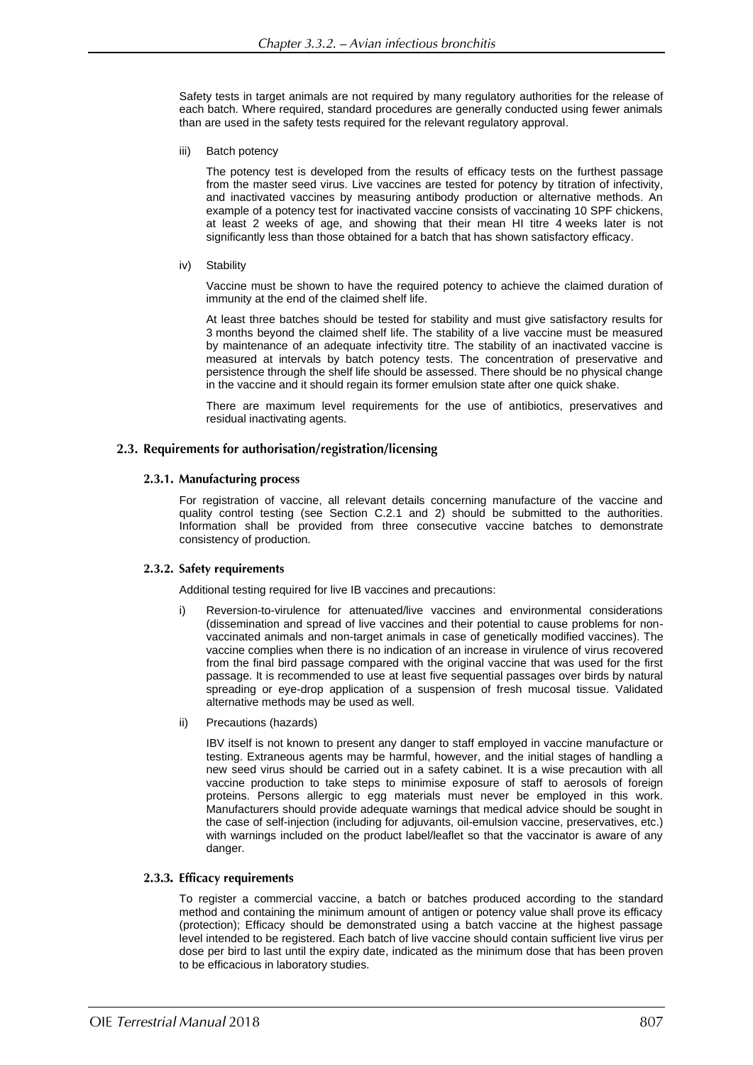Safety tests in target animals are not required by many regulatory authorities for the release of each batch. Where required, standard procedures are generally conducted using fewer animals than are used in the safety tests required for the relevant regulatory approval.

iii) Batch potency

The potency test is developed from the results of efficacy tests on the furthest passage from the master seed virus. Live vaccines are tested for potency by titration of infectivity, and inactivated vaccines by measuring antibody production or alternative methods. An example of a potency test for inactivated vaccine consists of vaccinating 10 SPF chickens, at least 2 weeks of age, and showing that their mean HI titre 4 weeks later is not significantly less than those obtained for a batch that has shown satisfactory efficacy.

iv) Stability

Vaccine must be shown to have the required potency to achieve the claimed duration of immunity at the end of the claimed shelf life.

At least three batches should be tested for stability and must give satisfactory results for 3 months beyond the claimed shelf life. The stability of a live vaccine must be measured by maintenance of an adequate infectivity titre. The stability of an inactivated vaccine is measured at intervals by batch potency tests. The concentration of preservative and persistence through the shelf life should be assessed. There should be no physical change in the vaccine and it should regain its former emulsion state after one quick shake.

There are maximum level requirements for the use of antibiotics, preservatives and residual inactivating agents.

## 2.3. Requirements for authorisation/registration/licensing

## 2.3.1. Manufacturing process

For registration of vaccine, all relevant details concerning manufacture of the vaccine and quality control testing (see Section C.2.1 and 2) should be submitted to the authorities. Information shall be provided from three consecutive vaccine batches to demonstrate consistency of production*.*

### 2.3.2. Safety requirements

Additional testing required for live IB vaccines and precautions:

- Reversion-to-virulence for attenuated/live vaccines and environmental considerations (dissemination and spread of live vaccines and their potential to cause problems for nonvaccinated animals and non-target animals in case of genetically modified vaccines). The vaccine complies when there is no indication of an increase in virulence of virus recovered from the final bird passage compared with the original vaccine that was used for the first passage. It is recommended to use at least five sequential passages over birds by natural spreading or eye-drop application of a suspension of fresh mucosal tissue. Validated alternative methods may be used as well.
- ii) Precautions (hazards)

IBV itself is not known to present any danger to staff employed in vaccine manufacture or testing. Extraneous agents may be harmful, however, and the initial stages of handling a new seed virus should be carried out in a safety cabinet. It is a wise precaution with all vaccine production to take steps to minimise exposure of staff to aerosols of foreign proteins. Persons allergic to egg materials must never be employed in this work. Manufacturers should provide adequate warnings that medical advice should be sought in the case of self-injection (including for adjuvants, oil-emulsion vaccine, preservatives, etc.) with warnings included on the product label/leaflet so that the vaccinator is aware of any danger.

## 2.3.3. Efficacy requirements

To register a commercial vaccine, a batch or batches produced according to the standard method and containing the minimum amount of antigen or potency value shall prove its efficacy (protection); Efficacy should be demonstrated using a batch vaccine at the highest passage level intended to be registered. Each batch of live vaccine should contain sufficient live virus per dose per bird to last until the expiry date, indicated as the minimum dose that has been proven to be efficacious in laboratory studies.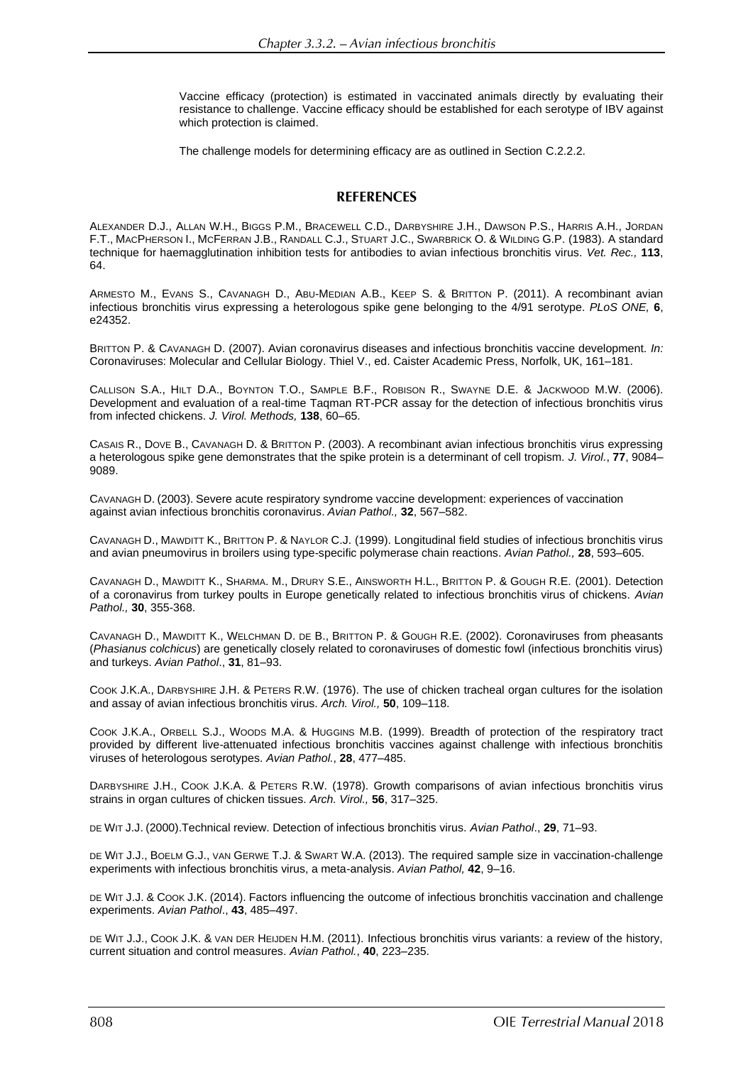Vaccine efficacy (protection) is estimated in vaccinated animals directly by evaluating their resistance to challenge. Vaccine efficacy should be established for each serotype of IBV against which protection is claimed.

The challenge models for determining efficacy are as outlined in Section C.2.2.2.

## **REFERENCES**

ALEXANDER D.J., ALLAN W.H., BIGGS P.M., BRACEWELL C.D., DARBYSHIRE J.H., DAWSON P.S., HARRIS A.H., JORDAN F.T., MACPHERSON I., MCFERRAN J.B., RANDALL C.J., STUART J.C., SWARBRICK O. & WILDING G.P. (1983). A standard technique for haemagglutination inhibition tests for antibodies to avian infectious bronchitis virus. *Vet. Rec.,* **113**, 64.

ARMESTO M., EVANS S., CAVANAGH D., ABU-MEDIAN A.B., KEEP S. & BRITTON P. (2011). A recombinant avian infectious bronchitis virus expressing a heterologous spike gene belonging to the 4/91 serotype. *PLoS ONE,* **6**, e24352.

BRITTON P. & CAVANAGH D. (2007). Avian coronavirus diseases and infectious bronchitis vaccine development. *In:* Coronaviruses: Molecular and Cellular Biology. Thiel V., ed. Caister Academic Press, Norfolk, UK, 161–181.

CALLISON S.A., HILT D.A., BOYNTON T.O., SAMPLE B.F., ROBISON R., SWAYNE D.E. & JACKWOOD M.W. (2006). Development and evaluation of a real-time Taqman RT-PCR assay for the detection of infectious bronchitis virus from infected chickens. *J. Virol. Methods,* **138**, 60–65.

CASAIS R., DOVE B., CAVANAGH D. & BRITTON P. (2003). A recombinant avian infectious bronchitis virus expressing a heterologous spike gene demonstrates that the spike protein is a determinant of cell tropism. *J. Virol.*, **77**, 9084– 9089.

CAVANAGH D. (2003). Severe acute respiratory syndrome vaccine development: experiences of vaccination against avian infectious bronchitis coronavirus. *Avian Pathol.,* **32**, 567–582.

CAVANAGH D., MAWDITT K., BRITTON P. & NAYLOR C.J. (1999). Longitudinal field studies of infectious bronchitis virus and avian pneumovirus in broilers using type-specific polymerase chain reactions. *Avian Pathol.,* **28**, 593–605.

CAVANAGH D., MAWDITT K., SHARMA. M., DRURY S.E., AINSWORTH H.L., BRITTON P. & GOUGH R.E. (2001). Detection of a coronavirus from turkey poults in Europe genetically related to infectious bronchitis virus of chickens. *Avian Pathol.,* **30**, 355-368.

CAVANAGH D., MAWDITT K., WELCHMAN D. DE B., BRITTON P. & GOUGH R.E. (2002). Coronaviruses from pheasants (*Phasianus colchicus*) are genetically closely related to coronaviruses of domestic fowl (infectious bronchitis virus) and turkeys. *Avian Pathol*., **31**, 81–93.

COOK J.K.A., DARBYSHIRE J.H. & PETERS R.W. (1976). The use of chicken tracheal organ cultures for the isolation and assay of avian infectious bronchitis virus. *Arch. Virol.,* **50**, 109–118.

COOK J.K.A., ORBELL S.J., WOODS M.A. & HUGGINS M.B. (1999). Breadth of protection of the respiratory tract provided by different live-attenuated infectious bronchitis vaccines against challenge with infectious bronchitis viruses of heterologous serotypes. *Avian Pathol.*, **28**, 477–485.

DARBYSHIRE J.H., COOK J.K.A. & PETERS R.W. (1978). Growth comparisons of avian infectious bronchitis virus strains in organ cultures of chicken tissues. *Arch. Virol.,* **56**, 317–325.

DE WIT J.J. (2000).Technical review. Detection of infectious bronchitis virus. *Avian Pathol*., **29**, 71–93.

DE WIT J.J., BOELM G.J., VAN GERWE T.J. & SWART W.A. (2013). The required sample size in vaccination-challenge experiments with infectious bronchitis virus, a meta-analysis. *Avian Pathol,* **42**, 9–16.

DE WIT J.J. & COOK J.K. (2014). Factors influencing the outcome of infectious bronchitis vaccination and challenge experiments. *Avian Pathol*., **43**, 485–497.

DE WIT J.J., COOK J.K. & VAN DER HEIJDEN H.M. (2011). Infectious bronchitis virus variants: a review of the history, current situation and control measures. *Avian Pathol.*, **40**, 223*–*235.